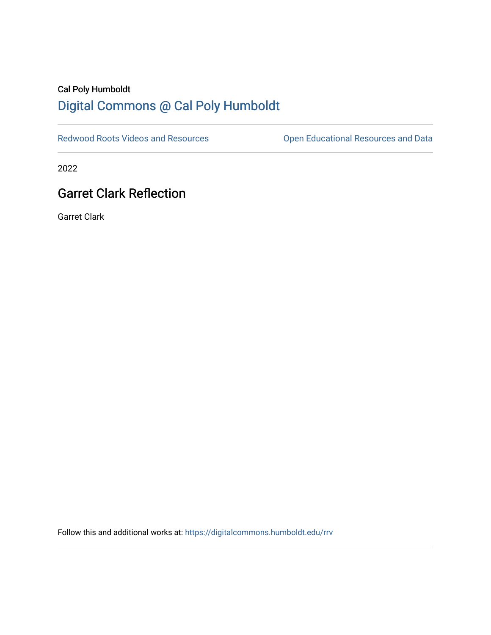# Cal Poly Humboldt [Digital Commons @ Cal Poly Humboldt](https://digitalcommons.humboldt.edu/)

[Redwood Roots Videos and Resources](https://digitalcommons.humboldt.edu/rrv) **Conservational Resources and Data** 

2022

# Garret Clark Reflection

Garret Clark

Follow this and additional works at: [https://digitalcommons.humboldt.edu/rrv](https://digitalcommons.humboldt.edu/rrv?utm_source=digitalcommons.humboldt.edu%2Frrv%2F18&utm_medium=PDF&utm_campaign=PDFCoverPages)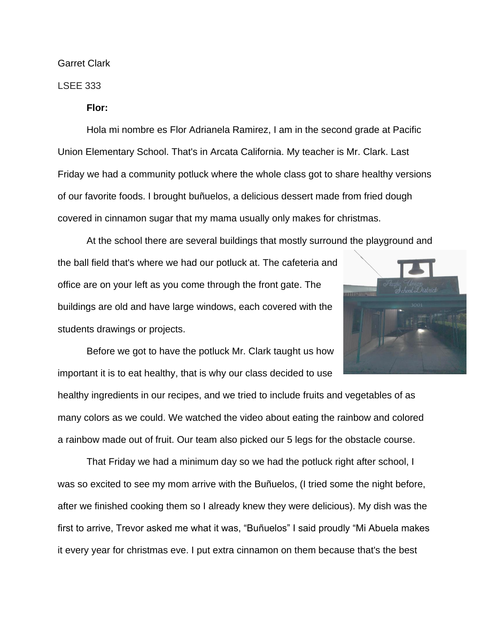Garret Clark

#### LSEE 333

**Flor:** 

Hola mi nombre es Flor Adrianela Ramirez, I am in the second grade at Pacific Union Elementary School. That's in Arcata California. My teacher is Mr. Clark. Last Friday we had a community potluck where the whole class got to share healthy versions of our favorite foods. I brought buñuelos, a delicious dessert made from fried dough covered in cinnamon sugar that my mama usually only makes for christmas.

At the school there are several buildings that mostly surround the playground and the ball field that's where we had our potluck at. The cafeteria and office are on your left as you come through the front gate. The buildings are old and have large windows, each covered with the students drawings or projects.



Before we got to have the potluck Mr. Clark taught us how important it is to eat healthy, that is why our class decided to use

healthy ingredients in our recipes, and we tried to include fruits and vegetables of as many colors as we could. We watched the video about eating the rainbow and colored a rainbow made out of fruit. Our team also picked our 5 legs for the obstacle course.

That Friday we had a minimum day so we had the potluck right after school, I was so excited to see my mom arrive with the Buñuelos, (I tried some the night before, after we finished cooking them so I already knew they were delicious). My dish was the first to arrive, Trevor asked me what it was, "Buñuelos" I said proudly "Mi Abuela makes it every year for christmas eve. I put extra cinnamon on them because that's the best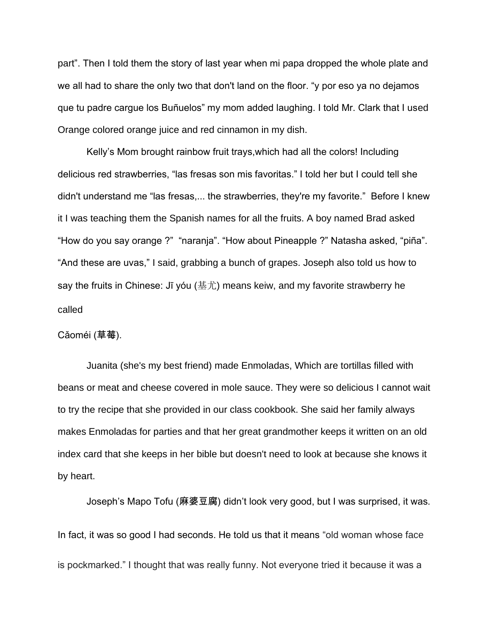part". Then I told them the story of last year when mi papa dropped the whole plate and we all had to share the only two that don't land on the floor. "y por eso ya no dejamos que tu padre cargue los Buñuelos" my mom added laughing. I told Mr. Clark that I used Orange colored orange juice and red cinnamon in my dish.

Kelly's Mom brought rainbow fruit trays,which had all the colors! Including delicious red strawberries, "las fresas son mis favoritas." I told her but I could tell she didn't understand me "las fresas,... the strawberries, they're my favorite." Before I knew it I was teaching them the Spanish names for all the fruits. A boy named Brad asked "How do you say orange ?" "naranja". "How about Pineapple ?" Natasha asked, "piña". "And these are uvas," I said, grabbing a bunch of grapes. Joseph also told us how to say the fruits in Chinese: Jī yóu (基尤) means keiw, and my favorite strawberry he called

#### Cǎoméi (草莓).

Juanita (she's my best friend) made Enmoladas, Which are tortillas filled with beans or meat and cheese covered in mole sauce. They were so delicious I cannot wait to try the recipe that she provided in our class cookbook. She said her family always makes Enmoladas for parties and that her great grandmother keeps it written on an old index card that she keeps in her bible but doesn't need to look at because she knows it by heart.

Joseph's Mapo Tofu (麻婆豆腐) didn't look very good, but I was surprised, it was. In fact, it was so good I had seconds. He told us that it means "old woman whose face is pockmarked." I thought that was really funny. Not everyone tried it because it was a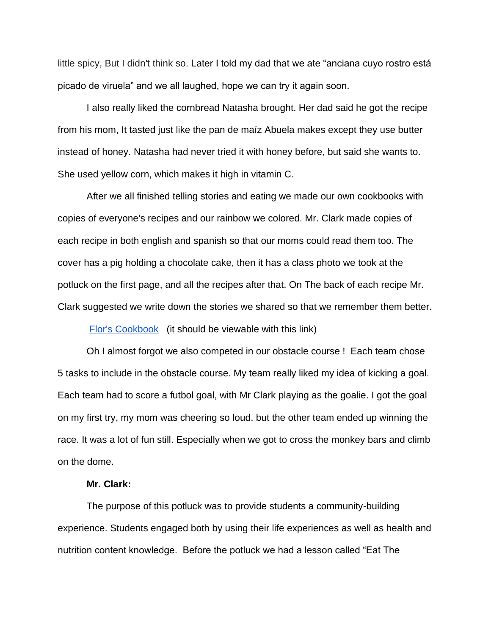little spicy, But I didn't think so. Later I told my dad that we ate "anciana cuyo rostro está picado de viruela" and we all laughed, hope we can try it again soon.

I also really liked the cornbread Natasha brought. Her dad said he got the recipe from his mom, It tasted just like the pan de maíz Abuela makes except they use butter instead of honey. Natasha had never tried it with honey before, but said she wants to. She used yellow corn, which makes it high in vitamin C.

After we all finished telling stories and eating we made our own cookbooks with copies of everyone's recipes and our rainbow we colored. Mr. Clark made copies of each recipe in both english and spanish so that our moms could read them too. The cover has a pig holding a chocolate cake, then it has a class photo we took at the potluck on the first page, and all the recipes after that. On The back of each recipe Mr. Clark suggested we write down the stories we shared so that we remember them better.

[Flor's Cookbook](https://docs.google.com/presentation/d/1pMTBxvcB0YtPmJYEpskX0hJyX_VwvPhv0tFcJAfZj-0/edit#slide=id.g7aeeb21e80_0_42) (it should be viewable with this link)

Oh I almost forgot we also competed in our obstacle course ! Each team chose 5 tasks to include in the obstacle course. My team really liked my idea of kicking a goal. Each team had to score a futbol goal, with Mr Clark playing as the goalie. I got the goal on my first try, my mom was cheering so loud. but the other team ended up winning the race. It was a lot of fun still. Especially when we got to cross the monkey bars and climb on the dome.

#### **Mr. Clark:**

The purpose of this potluck was to provide students a community-building experience. Students engaged both by using their life experiences as well as health and nutrition content knowledge. Before the potluck we had a lesson called "Eat The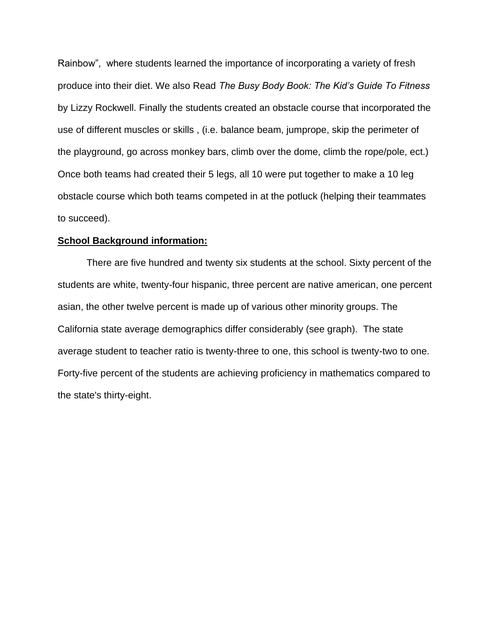Rainbow", where students learned the importance of incorporating a variety of fresh produce into their diet. We also Read *[The Busy Body Book: The Kid's Guide To Fitness](http://amzn.to/20vArpV)* [by Lizzy Rockwell.](http://amzn.to/20vArpV) Finally the students created an obstacle course that incorporated the use of different muscles or skills , (i.e. balance beam, jumprope, skip the perimeter of the playground, go across monkey bars, climb over the dome, climb the rope/pole, ect.) Once both teams had created their 5 legs, all 10 were put together to make a 10 leg obstacle course which both teams competed in at the potluck (helping their teammates to succeed).

#### **School Background information:**

There are five hundred and twenty six students at the school. Sixty percent of the students are white, twenty-four hispanic, three percent are native american, one percent asian, the other twelve percent is made up of various other minority groups. The California state average demographics differ considerably (see graph). The state average student to teacher ratio is twenty-three to one, this school is twenty-two to one. Forty-five percent of the students are achieving proficiency in mathematics compared to the state's thirty-eight.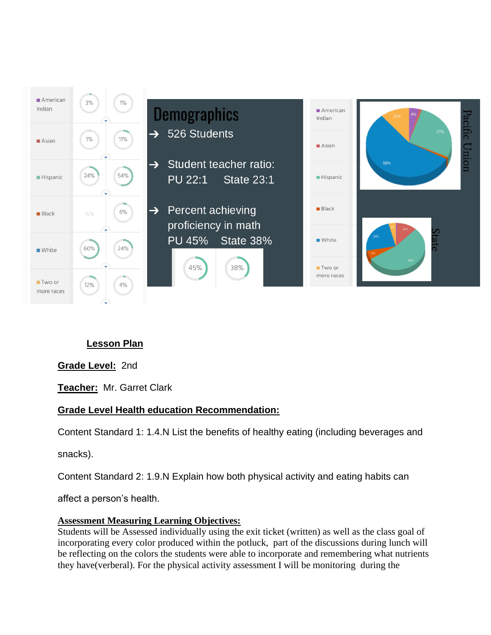

# **Lesson Plan**

**Grade Level:** 2nd

**Teacher:** Mr. Garret Clark

## **Grade Level Health education Recommendation:**

Content Standard 1: 1.4.N List the benefits of healthy eating (including beverages and

snacks).

Content Standard 2: 1.9.N Explain how both physical activity and eating habits can

affect a person's health.

#### **Assessment Measuring Learning Objectives:**

Students will be Assessed individually using the exit ticket (written) as well as the class goal of incorporating every color produced within the potluck, part of the discussions during lunch will be reflecting on the colors the students were able to incorporate and remembering what nutrients they have(verberal). For the physical activity assessment I will be monitoring during the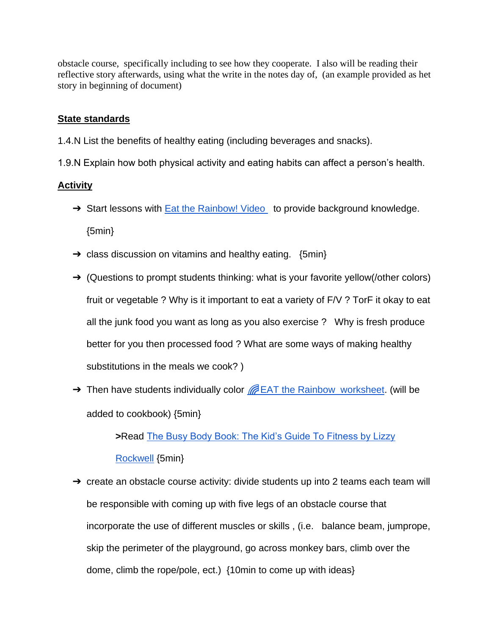obstacle course, specifically including to see how they cooperate. I also will be reading their reflective story afterwards, using what the write in the notes day of, (an example provided as het story in beginning of document)

### **State standards**

1.4.N List the benefits of healthy eating (including beverages and snacks).

1.9.N Explain how both physical activity and eating habits can affect a person's health.

### **Activity**

- → Start lessons with **Eat the Rainbow! Video** to provide background knowledge. {5min}
- $\rightarrow$  class discussion on vitamins and healthy eating. {5min}
- $\rightarrow$  (Questions to prompt students thinking: what is your favorite yellow(/other colors) fruit or vegetable ? Why is it important to eat a variety of F/V ? TorF it okay to eat all the junk food you want as long as you also exercise ? Why is fresh produce better for you then processed food ? What are some ways of making healthy substitutions in the meals we cook? )
- → Then have students individually color **EAT** the Rainbow worksheet. (will be added to cookbook) {5min}

**>**Read [The Busy Body Book: The Kid's Guide To Fitness by Lizzy](http://amzn.to/20vArpV)  [Rockwell](http://amzn.to/20vArpV) {5min}

 $\rightarrow$  create an obstacle course activity: divide students up into 2 teams each team will be responsible with coming up with five legs of an obstacle course that incorporate the use of different muscles or skills , (i.e. balance beam, jumprope, skip the perimeter of the playground, go across monkey bars, climb over the dome, climb the rope/pole, ect.) {10min to come up with ideas}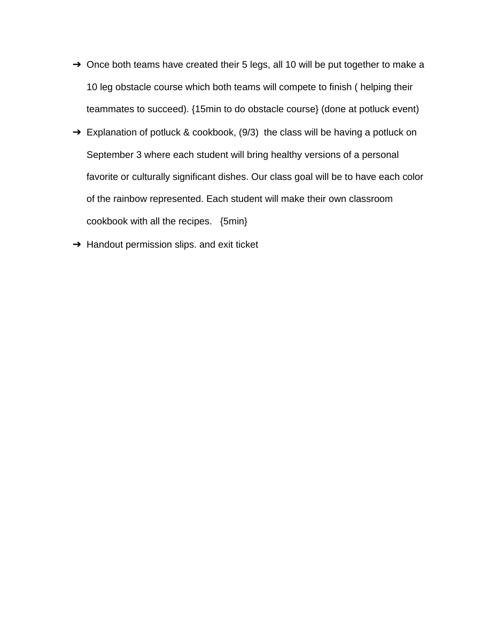- $\rightarrow$  Once both teams have created their 5 legs, all 10 will be put together to make a 10 leg obstacle course which both teams will compete to finish ( helping their teammates to succeed). {15min to do obstacle course} (done at potluck event)
- $\rightarrow$  Explanation of potluck & cookbook, (9/3) the class will be having a potluck on September 3 where each student will bring healthy versions of a personal favorite or culturally significant dishes. Our class goal will be to have each color of the rainbow represented. Each student will make their own classroom cookbook with all the recipes. {5min}
- **→** Handout permission slips. and exit ticket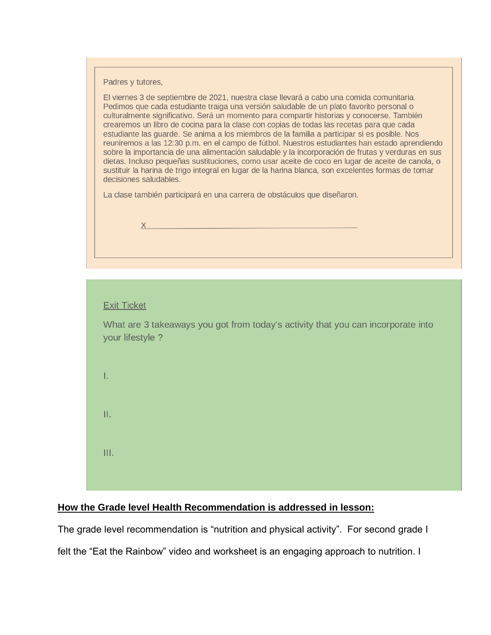Padres y tutores,

El viernes 3 de septiembre de 2021, nuestra clase llevará a cabo una comida comunitaria. Pedimos que cada estudiante traiga una versión saludable de un plato favorito personal o culturalmente significativo. Será un momento para compartir historias y conocerse. También crearemos un libro de cocina para la clase con copias de todas las recetas para que cada estudiante las quarde. Se anima a los miembros de la familia a participar si es posible. Nos reuniremos a las 12:30 p.m. en el campo de fútbol. Nuestros estudiantes han estado aprendiendo sobre la importancia de una alimentación saludable y la incorporación de frutas y verduras en sus dietas. Incluso pequeñas sustituciones, como usar aceite de coco en lugar de aceite de canola, o sustituir la harina de trigo integral en lugar de la harina blanca, son excelentes formas de tomar decisiones saludables.

La clase también participará en una carrera de obstáculos que diseñaron.



|  | <b>Exit Ticket</b> |  |
|--|--------------------|--|
|  |                    |  |

What are 3 takeaways you got from today's activity that you can incorporate into your lifestyle ?

Ī.

Ш.

 $III.$ 

#### **How the Grade level Health Recommendation is addressed in lesson:**

The grade level recommendation is "nutrition and physical activity". For second grade I

felt the "Eat the Rainbow" video and worksheet is an engaging approach to nutrition. I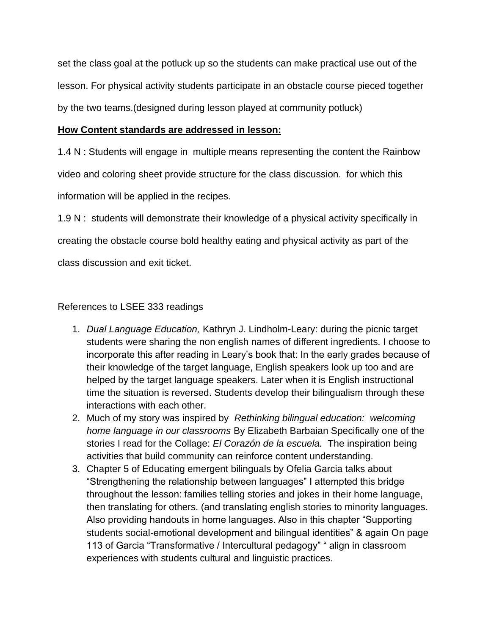set the class goal at the potluck up so the students can make practical use out of the lesson. For physical activity students participate in an obstacle course pieced together by the two teams.(designed during lesson played at community potluck)

## **How Content standards are addressed in lesson:**

1.4 N : Students will engage in multiple means representing the content the Rainbow video and coloring sheet provide structure for the class discussion. for which this information will be applied in the recipes.

1.9 N : students will demonstrate their knowledge of a physical activity specifically in creating the obstacle course bold healthy eating and physical activity as part of the class discussion and exit ticket.

## References to LSEE 333 readings

- 1. *Dual Language Education,* Kathryn J. Lindholm-Leary: during the picnic target students were sharing the non english names of different ingredients. I choose to incorporate this after reading in Leary's book that: In the early grades because of their knowledge of the target language, English speakers look up too and are helped by the target language speakers. Later when it is English instructional time the situation is reversed. Students develop their bilingualism through these interactions with each other.
- 2. Much of my story was inspired by *Rethinking bilingual education: welcoming home language in our classrooms* By Elizabeth Barbaian Specifically one of the stories I read for the Collage: *El Corazón de la escuela.* The inspiration being activities that build community can reinforce content understanding.
- 3. Chapter 5 of Educating emergent bilinguals by Ofelia Garcia talks about "Strengthening the relationship between languages" I attempted this bridge throughout the lesson: families telling stories and jokes in their home language, then translating for others. (and translating english stories to minority languages. Also providing handouts in home languages. Also in this chapter "Supporting students social-emotional development and bilingual identities" & again On page 113 of Garcia "Transformative / Intercultural pedagogy" " align in classroom experiences with students cultural and linguistic practices.